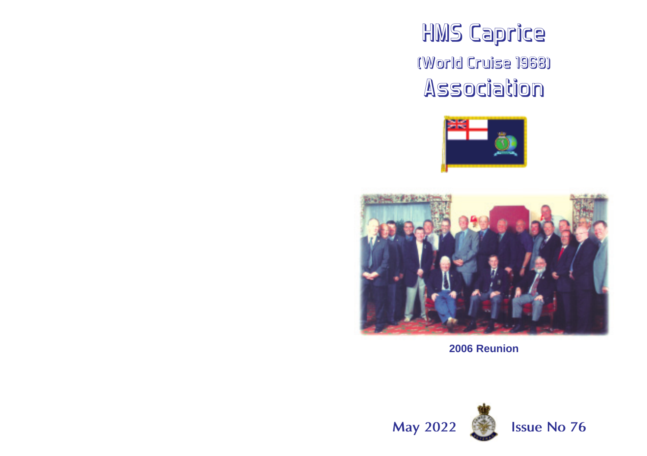# HMS Caprice (World Cruise 1968) Association





**2006 Reunion**

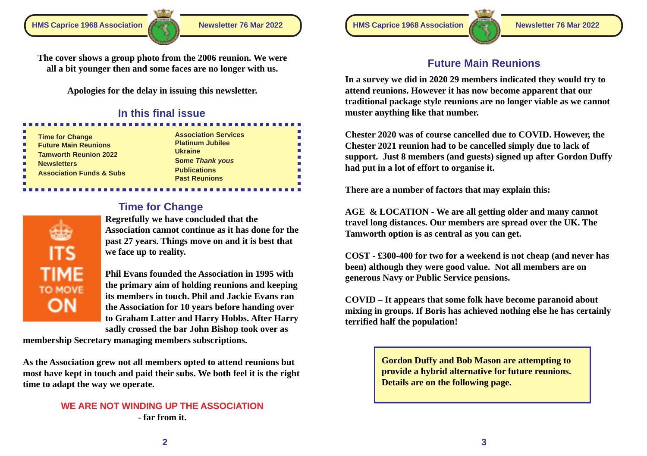**Future Main Reunions The cover shows a group photo from the 2006 reunion. We were all a bit younger then and some faces are no longer with us.**

**Apologies for the delay in issuing this newsletter.**

# **In this final issue**

| <b>Time for Change</b>              | A  |
|-------------------------------------|----|
| <b>Future Main Reunions</b>         | P  |
| <b>Tamworth Reunion 2022</b>        | U  |
|                                     | S. |
| <b>Newsletters</b>                  | Р  |
| <b>Association Funds &amp; Subs</b> | P. |
|                                     |    |

-------------

| <b>Association Services</b> |
|-----------------------------|
| <b>Platinum Jubilee</b>     |
| <b>Ukraine</b>              |
| <b>Some Thank yous</b>      |
| <b>Publications</b>         |
| <b>Past Reunions</b>        |

ь × Е ь н

# **Time for Change**

**Regretfully we have concluded that the Association cannot continue as it has done for the past 27 years. Things move on and it is best that we face up to reality.**

**TIME** TO MOVE ON

ITS

**Phil Evans founded the Association in 1995 with the primary aim of holding reunions and keeping its members in touch. Phil and Jackie Evans ran the Association for 10 years before handing over to Graham Latter and Harry Hobbs. After Harry sadly crossed the bar John Bishop took over as**

**membership Secretary managing members subscriptions.**

**As the Association grew not all members opted to attend reunions but most have kept in touch and paid their subs. We both feel it is the right time to adapt the way we operate.**

# **WE ARE NOT WINDING UP THE ASSOCIATION - far from it.**

**HMS Caprice 1968 Association Newsletter 76 Mar 2022 HMS Caprice 1968 Association Newsletter 76 Mar 2022**



**In a survey we did in 2020 29 members indicated they would try to attend reunions. However it has now become apparent that our traditional package style reunions are no longer viable as we cannot muster anything like that number.**

**Chester 2020 was of course cancelled due to COVID. However, the Chester 2021 reunion had to be cancelled simply due to lack of support. Just 8 members (and guests) signed up after Gordon Duffy had put in a lot of effort to organise it.**

**There are a number of factors that may explain this:**

**AGE & LOCATION - We are all getting older and many cannot travel long distances. Our members are spread over the UK. The Tamworth option is as central as you can get.**

**COST - £300-400 for two for a weekend is not cheap (and never has been) although they were good value. Not all members are on generous Navy or Public Service pensions.**

**COVID – It appears that some folk have become paranoid about mixing in groups. If Boris has achieved nothing else he has certainly terrified half the population!**

> **Gordon Duffy and Bob Mason are attempting to provide a hybrid alternative for future reunions. Details are on the following page.**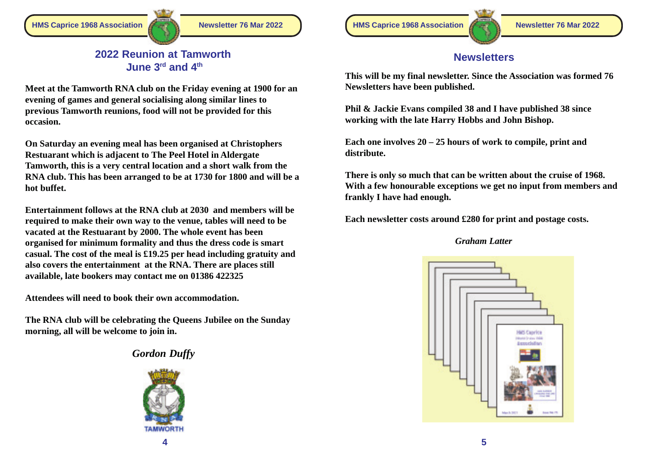**HMS Caprice 1968 Association Newsletter 76 Mar 2022 HMS Caprice 1968 Association Newsletter 76 Mar 2022**



# **Newsletters**

**This will be my final newsletter. Since the Association was formed 76 Newsletters have been published.**

**Phil & Jackie Evans compiled 38 and I have published 38 since working with the late Harry Hobbs and John Bishop.**

**Each one involves 20 – 25 hours of work to compile, print and distribute.**

**There is only so much that can be written about the cruise of 1968. With a few honourable exceptions we get no input from members and frankly I have had enough.**

**Each newsletter costs around £280 for print and postage costs.**

#### *Graham Latter*



### **2022 Reunion at Tamworth June 3rd and 4th**

**Meet at the Tamworth RNA club on the Friday evening at 1900 for an evening of games and general socialising along similar lines to previous Tamworth reunions, food will not be provided for this occasion.**

**On Saturday an evening meal has been organised at Christophers Restuarant which is adjacent to The Peel Hotel in Aldergate Tamworth, this is a very central location and a short walk from the RNA club. This has been arranged to be at 1730 for 1800 and will be a hot buffet.**

**Entertainment follows at the RNA club at 2030 and members will be required to make their own way to the venue, tables will need to be vacated at the Restuarant by 2000. The whole event has been organised for minimum formality and thus the dress code is smart casual. The cost of the meal is £19.25 per head including gratuity and also covers the entertainment at the RNA. There are places still available, late bookers may contact me on 01386 422325**

**Attendees will need to book their own accommodation.**

**The RNA club will be celebrating the Queens Jubilee on the Sunday morning, all will be welcome to join in.**

# *Gordon Duffy*

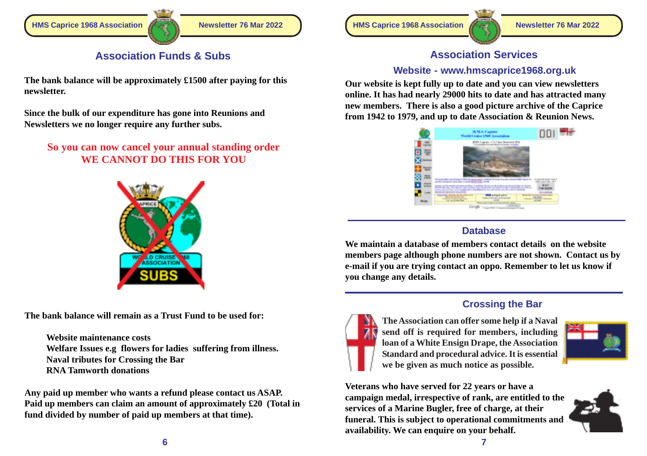

# **Association Funds & Subs**

**The bank balance will be approximately £1500 after paying for this newsletter.**

**Since the bulk of our expenditure has gone into Reunions and Newsletters we no longer require any further subs.**

**So you can now cancel your annual standing order WE CANNOT DO THIS FOR YOU**



**The bank balance will remain as a Trust Fund to be used for:**

**Website maintenance costs Welfare Issues e.g flowers for ladies suffering from illness. Naval tributes for Crossing the Bar RNA Tamworth donations**

**Any paid up member who wants a refund please contact us ASAP. Paid up members can claim an amount of approximately £20 (Total in fund divided by number of paid up members at that time).**





# **Association Services**

#### **Website - www.hmscaprice1968.org.uk**

**Our website is kept fully up to date and you can view newsletters online. It has had nearly 29000 hits to date and has attracted many new members. There is also a good picture archive of the Caprice from 1942 to 1979, and up to date Association & Reunion News.**



## **Database**

**We maintain a database of members contact details on the website members page although phone numbers are not shown. Contact us by e-mail if you are trying contact an oppo. Remember to let us know if you change any details.**



# **Crossing the Bar**





**Veterans who have served for 22 years or have a campaign medal, irrespective of rank, are entitled to the services of a Marine Bugler, free of charge, at their funeral. This is subject to operational commitments and availability. We can enquire on your behalf.**

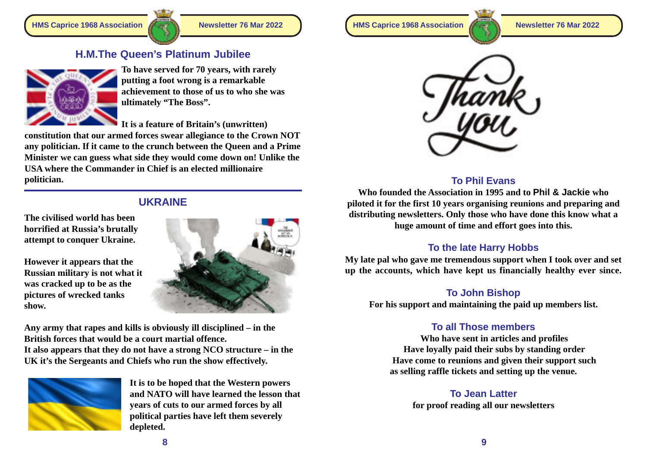# **H.M.The Queen's Platinum Jubilee**



**To have served for 70 years, with rarely putting a foot wrong is a remarkable achievement to those of us to who she was ultimately "The Boss".**

**It is a feature of Britain's (unwritten)**

**constitution that our armed forces swear allegiance to the Crown NOT any politician. If it came to the crunch between the Queen and a Prime Minister we can guess what side they would come down on! Unlike the USA where the Commander in Chief is an elected millionaire politician.**

# **UKRAINE**

**The civilised world has been horrified at Russia's brutally attempt to conquer Ukraine.**

**However it appears that the Russian military is not what it was cracked up to be as the pictures of wrecked tanks show.**



**Any army that rapes and kills is obviously ill disciplined – in the British forces that would be a court martial offence.**

**It also appears that they do not have a strong NCO structure – in the UK it's the Sergeants and Chiefs who run the show effectively.**



**It is to be hoped that the Western powers and NATO will have learned the lesson that years of cuts to our armed forces by all political parties have left them severely depleted.**

**HMS Caprice 1968 Association Newsletter 76 Mar 2022 HMS Caprice 1968 Association Newsletter 76 Mar 2022**





# **To Phil Evans**

**Who founded the Association in 1995 and to Phil & Jackie who piloted it for the first 10 years organising reunions and preparing and distributing newsletters. Only those who have done this know what a huge amount of time and effort goes into this.**

## **To the late Harry Hobbs**

**My late pal who gave me tremendous support when I took over and set up the accounts, which have kept us financially healthy ever since.**

## **To John Bishop**

**For his support and maintaining the paid up members list.**

# **To all Those members**

**Who have sent in articles and profiles Have loyally paid their subs by standing order Have come to reunions and given their support such as selling raffle tickets and setting up the venue.**

> **To Jean Latter for proof reading all our newsletters**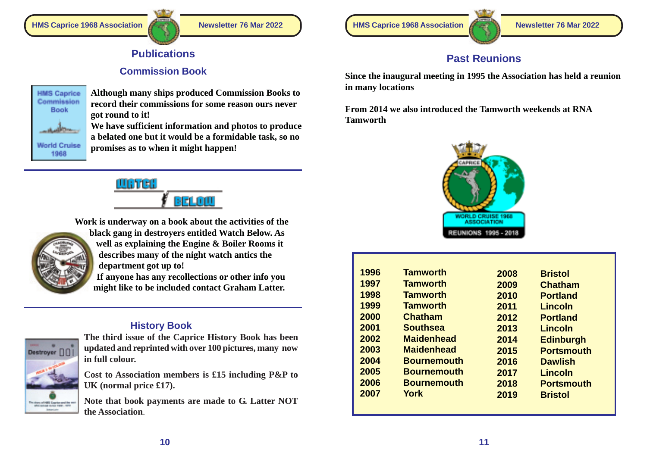

# **Publications**

# **Commission Book**



**Although many ships produced Commission Books to record their commissions for some reason ours never got round to it!**

**We have sufficient information and photos to produce a belated one but it would be a formidable task, so no promises as to when it might happen!**



**Work is underway on a book about the activities of the**



**black gang in destroyers entitled Watch Below. As well as explaining the Engine & Boiler Rooms it describes many of the night watch antics the department got up to!**

**If anyone has any recollections or other info you might like to be included contact Graham Latter.**

# **History Book**



**The third issue of the Caprice History Book has been updated and reprinted with over 100 pictures, many now in full colour.**

**Cost to Association members is £15 including P&P to UK (normal price £17).**

**Note that book payments are made to G. Latter NOT the Association**.

**HMS Caprice 1968 Association Newsletter 76 Mar 2022 HMS Caprice 1968 Association Newsletter 76 Mar 2022**



# **Past Reunions**

**Since the inaugural meeting in 1995 the Association has held a reunion in many locations**

**From 2014 we also introduced the Tamworth weekends at RNA Tamworth**



| 1996 | <b>Tamworth</b>    | 2008 | <b>Bristol</b>    |
|------|--------------------|------|-------------------|
| 1997 | <b>Tamworth</b>    | 2009 | Chatham           |
| 1998 | <b>Tamworth</b>    | 2010 | <b>Portland</b>   |
| 1999 | <b>Tamworth</b>    | 2011 | Lincoln           |
| 2000 | Chatham            | 2012 | <b>Portland</b>   |
| 2001 | <b>Southsea</b>    | 2013 | Lincoln           |
| 2002 | <b>Maidenhead</b>  | 2014 | <b>Edinburgh</b>  |
| 2003 | <b>Maidenhead</b>  | 2015 | <b>Portsmouth</b> |
| 2004 | <b>Bournemouth</b> | 2016 | <b>Dawlish</b>    |
| 2005 | <b>Bournemouth</b> | 2017 | Lincoln           |
| 2006 | <b>Bournemouth</b> | 2018 | <b>Portsmouth</b> |
| 2007 | York               | 2019 | <b>Bristol</b>    |
|      |                    |      |                   |